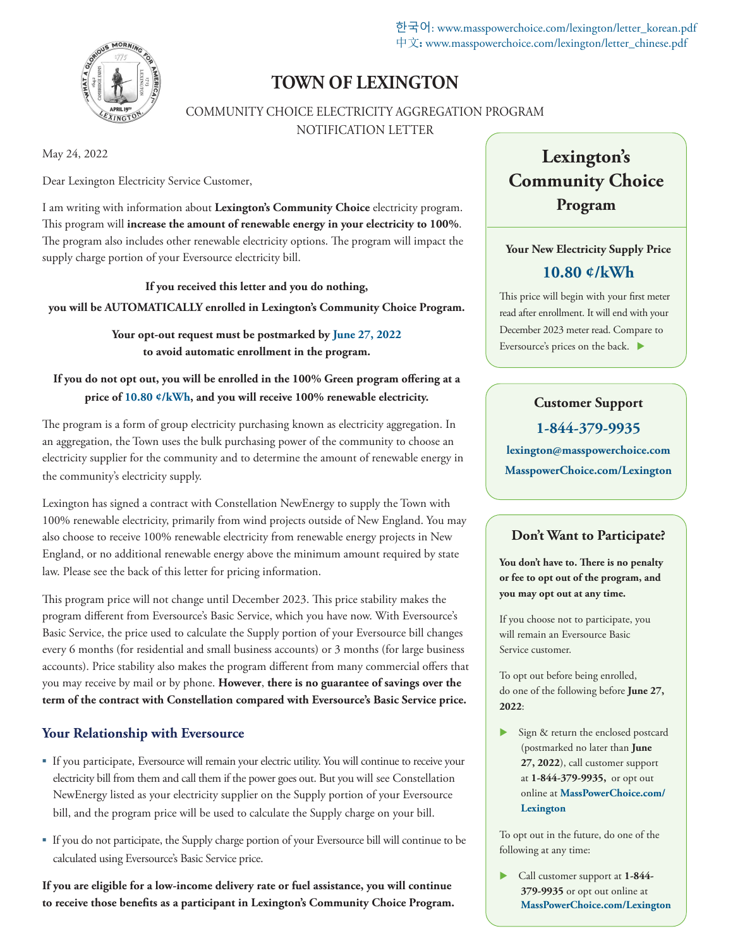한국어: www.masspowerchoice.com/lexington/letter\_korean.pdf 中文**:** www.masspowerchoice.com/lexington/letter\_chinese.pdf



## **TOWN OF LEXINGTON**

COMMUNITY CHOICE ELECTRICITY AGGREGATION PROGRAM NOTIFICATION LETTER

May 24, 2022

Dear Lexington Electricity Service Customer,

I am writing with information about **Lexington's Community Choice** electricity program. This program will **increase the amount of renewable energy in your electricity to 100%**. The program also includes other renewable electricity options. The program will impact the supply charge portion of your Eversource electricity bill.

**If you received this letter and you do nothing, you will be AUTOMATICALLY enrolled in Lexington's Community Choice Program.** 

> **Your opt-out request must be postmarked by June 27, 2022 to avoid automatic enrollment in the program.**

**If you do not opt out, you will be enrolled in the 100% Green program offering at a price of 10.80 ¢/kWh, and you will receive 100% renewable electricity.** 

The program is a form of group electricity purchasing known as electricity aggregation. In an aggregation, the Town uses the bulk purchasing power of the community to choose an electricity supplier for the community and to determine the amount of renewable energy in the community's electricity supply.

Lexington has signed a contract with Constellation NewEnergy to supply the Town with 100% renewable electricity, primarily from wind projects outside of New England. You may also choose to receive 100% renewable electricity from renewable energy projects in New England, or no additional renewable energy above the minimum amount required by state law. Please see the back of this letter for pricing information.

This program price will not change until December 2023. This price stability makes the program different from Eversource's Basic Service, which you have now. With Eversource's Basic Service, the price used to calculate the Supply portion of your Eversource bill changes every 6 months (for residential and small business accounts) or 3 months (for large business accounts). Price stability also makes the program different from many commercial offers that you may receive by mail or by phone. **However**, **there is no guarantee of savings over the term of the contract with Constellation compared with Eversource's Basic Service price.**

#### **Your Relationship with Eversource**

- If you participate, Eversource will remain your electric utility. You will continue to receive your electricity bill from them and call them if the power goes out. But you will see Constellation NewEnergy listed as your electricity supplier on the Supply portion of your Eversource bill, and the program price will be used to calculate the Supply charge on your bill.
- If you do not participate, the Supply charge portion of your Eversource bill will continue to be calculated using Eversource's Basic Service price.

**If you are eligible for a low-income delivery rate or fuel assistance, you will continue to receive those benefits as a participant in Lexington's Community Choice Program.** 

# **Lexington's Community Choice Program**

### **Your New Electricity Supply Price 10.80 ¢/kWh**

This price will begin with your first meter read after enrollment. It will end with your December 2023 meter read. Compare to Eversource's prices on the back.

## **Customer Support 1-844-379-9935 lexington@masspowerchoice.com MasspowerChoice.com/Lexington**

#### **Don't Want to Participate?**

**You don't have to. There is no penalty or fee to opt out of the program, and you may opt out at any time.**

If you choose not to participate, you will remain an Eversource Basic Service customer.

To opt out before being enrolled, do one of the following before **June 27, 2022**:

Sign & return the enclosed postcard (postmarked no later than **June 27, 2022**), call customer support at **1-844-379-9935,** or opt out online at **MassPowerChoice.com/ Lexington**

To opt out in the future, do one of the following at any time:

 Call customer support at **1-844- 379-9935** or opt out online at **MassPowerChoice.com/Lexington**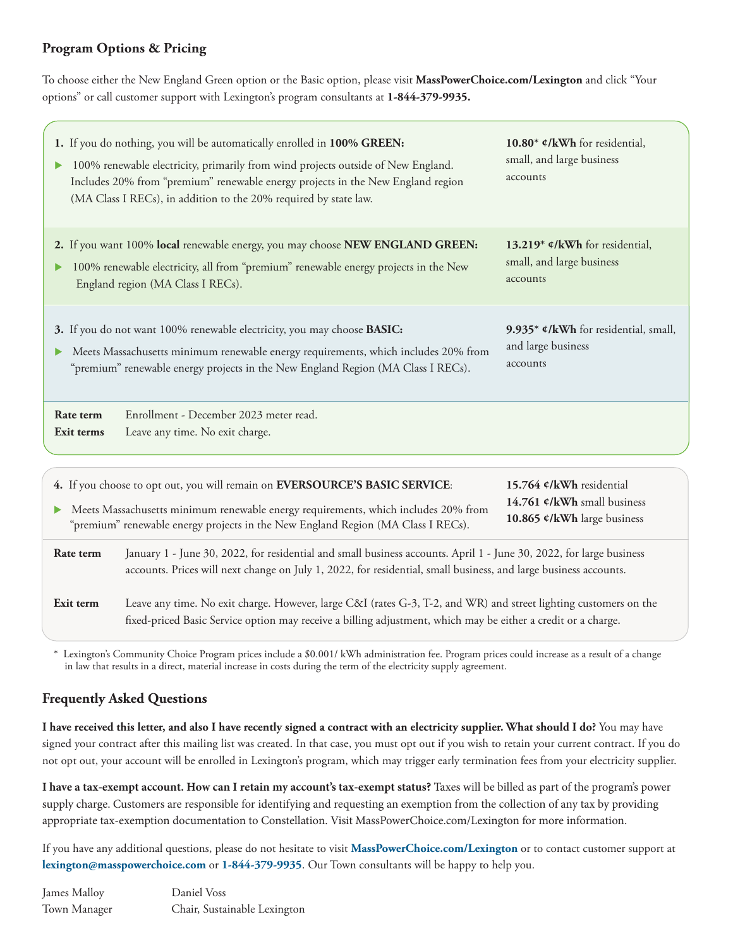### **Program Options & Pricing**

To choose either the New England Green option or the Basic option, please visit **MassPowerChoice.com/Lexington** and click "Your options" or call customer support with Lexington's program consultants at **1-844-379-9935.**

| 1. If you do nothing, you will be automatically enrolled in 100% GREEN:<br>100% renewable electricity, primarily from wind projects outside of New England.<br>Includes 20% from "premium" renewable energy projects in the New England region<br>(MA Class I RECs), in addition to the 20% required by state law. | 10.80* ¢/kWh for residential,<br>small, and large business<br>accounts |
|--------------------------------------------------------------------------------------------------------------------------------------------------------------------------------------------------------------------------------------------------------------------------------------------------------------------|------------------------------------------------------------------------|
| 2. If you want 100% local renewable energy, you may choose NEW ENGLAND GREEN:                                                                                                                                                                                                                                      | 13.219* ¢/kWh for residential,                                         |
| 100% renewable electricity, all from "premium" renewable energy projects in the New                                                                                                                                                                                                                                | small, and large business                                              |
| England region (MA Class I RECs).                                                                                                                                                                                                                                                                                  | accounts                                                               |
| 3. If you do not want 100% renewable electricity, you may choose BASIC:                                                                                                                                                                                                                                            | 9.935* ¢/kWh for residential, small,                                   |
| Meets Massachusetts minimum renewable energy requirements, which includes 20% from                                                                                                                                                                                                                                 | and large business                                                     |
| "premium" renewable energy projects in the New England Region (MA Class I RECs).                                                                                                                                                                                                                                   | accounts                                                               |
| Enrollment - December 2023 meter read.<br>Rate term<br>Leave any time. No exit charge.<br>Exit terms                                                                                                                                                                                                               |                                                                        |
| 4. If you choose to opt out, you will remain on EVERSOURCE'S BASIC SERVICE:                                                                                                                                                                                                                                        | 15.764 ¢/kWh residential                                               |
| Meets Massachusetts minimum renewable energy requirements, which includes 20% from                                                                                                                                                                                                                                 | 14.761 ¢/kWh small business                                            |
| "premium" renewable energy projects in the New England Region (MA Class I RECs).                                                                                                                                                                                                                                   | 10.865 ¢/kWh large business                                            |
| January 1 - June 30, 2022, for residential and small business accounts. April 1 - June 30, 2022, for large business<br>Rate term<br>accounts. Prices will next change on July 1, 2022, for residential, small business, and large business accounts.                                                               |                                                                        |

**Exit term** Leave any time. No exit charge. However, large C&I (rates G-3, T-2, and WR) and street lighting customers on the fixed-priced Basic Service option may receive a billing adjustment, which may be either a credit or a charge.

\* Lexington's Community Choice Program prices include a \$0.001/ kWh administration fee. Program prices could increase as a result of a change in law that results in a direct, material increase in costs during the term of the electricity supply agreement.

#### **Frequently Asked Questions**

**I have received this letter, and also I have recently signed a contract with an electricity supplier. What should I do?** You may have signed your contract after this mailing list was created. In that case, you must opt out if you wish to retain your current contract. If you do not opt out, your account will be enrolled in Lexington's program, which may trigger early termination fees from your electricity supplier.

**I have a tax-exempt account. How can I retain my account's tax-exempt status?** Taxes will be billed as part of the program's power supply charge. Customers are responsible for identifying and requesting an exemption from the collection of any tax by providing appropriate tax-exemption documentation to Constellation. Visit MassPowerChoice.com/Lexington for more information.

If you have any additional questions, please do not hesitate to visit **MassPowerChoice.com/Lexington** or to contact customer support at **lexington@masspowerchoice.com** or **1-844-379-9935**. Our Town consultants will be happy to help you.

James Malloy Daniel Voss Town Manager Chair, Sustainable Lexington